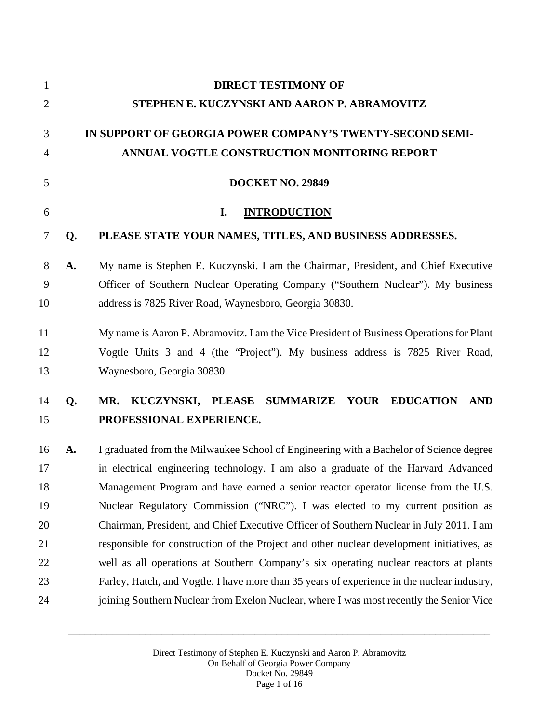| $\mathbf{1}$   |                                              | <b>DIRECT TESTIMONY OF</b>                                                                    |  |  |
|----------------|----------------------------------------------|-----------------------------------------------------------------------------------------------|--|--|
| $\overline{2}$ | STEPHEN E. KUCZYNSKI AND AARON P. ABRAMOVITZ |                                                                                               |  |  |
| 3              |                                              | IN SUPPORT OF GEORGIA POWER COMPANY'S TWENTY-SECOND SEMI-                                     |  |  |
| 4              |                                              | ANNUAL VOGTLE CONSTRUCTION MONITORING REPORT                                                  |  |  |
| 5              |                                              | <b>DOCKET NO. 29849</b>                                                                       |  |  |
| 6              |                                              | I.<br><b>INTRODUCTION</b>                                                                     |  |  |
| 7              | Q.                                           | PLEASE STATE YOUR NAMES, TITLES, AND BUSINESS ADDRESSES.                                      |  |  |
| 8              | A.                                           | My name is Stephen E. Kuczynski. I am the Chairman, President, and Chief Executive            |  |  |
| 9              |                                              | Officer of Southern Nuclear Operating Company ("Southern Nuclear"). My business               |  |  |
| 10             |                                              | address is 7825 River Road, Waynesboro, Georgia 30830.                                        |  |  |
| 11             |                                              | My name is Aaron P. Abramovitz. I am the Vice President of Business Operations for Plant      |  |  |
| 12             |                                              | Vogtle Units 3 and 4 (the "Project"). My business address is 7825 River Road,                 |  |  |
| 13             |                                              | Waynesboro, Georgia 30830.                                                                    |  |  |
| 14             | Q.                                           | KUCZYNSKI, PLEASE<br><b>SUMMARIZE</b><br><b>YOUR</b><br><b>EDUCATION</b><br><b>AND</b><br>MR. |  |  |
| 15             |                                              | PROFESSIONAL EXPERIENCE.                                                                      |  |  |
| 16             | A.                                           | I graduated from the Milwaukee School of Engineering with a Bachelor of Science degree        |  |  |
| 17             |                                              | in electrical engineering technology. I am also a graduate of the Harvard Advanced            |  |  |
| 18             |                                              | Management Program and have earned a senior reactor operator license from the U.S.            |  |  |
| 19             |                                              | Nuclear Regulatory Commission ("NRC"). I was elected to my current position as                |  |  |
| 20             |                                              | Chairman, President, and Chief Executive Officer of Southern Nuclear in July 2011. I am       |  |  |
| 21             |                                              | responsible for construction of the Project and other nuclear development initiatives, as     |  |  |
| 22             |                                              | well as all operations at Southern Company's six operating nuclear reactors at plants         |  |  |
| 23             |                                              | Farley, Hatch, and Vogtle. I have more than 35 years of experience in the nuclear industry,   |  |  |
| 24             |                                              | joining Southern Nuclear from Exelon Nuclear, where I was most recently the Senior Vice       |  |  |
|                |                                              |                                                                                               |  |  |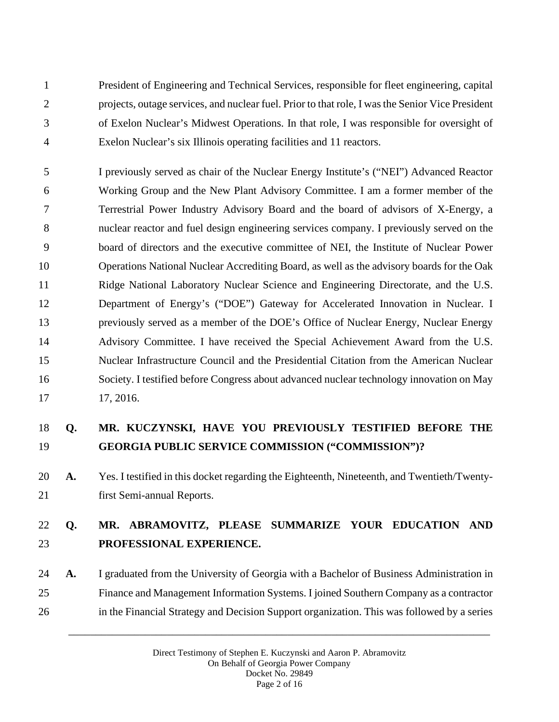President of Engineering and Technical Services, responsible for fleet engineering, capital projects, outage services, and nuclear fuel. Prior to that role, I was the Senior Vice President of Exelon Nuclear's Midwest Operations. In that role, I was responsible for oversight of Exelon Nuclear's six Illinois operating facilities and 11 reactors.

 I previously served as chair of the Nuclear Energy Institute's ("NEI") Advanced Reactor Working Group and the New Plant Advisory Committee. I am a former member of the Terrestrial Power Industry Advisory Board and the board of advisors of X-Energy, a nuclear reactor and fuel design engineering services company. I previously served on the board of directors and the executive committee of NEI, the Institute of Nuclear Power Operations National Nuclear Accrediting Board, as well as the advisory boards for the Oak Ridge National Laboratory Nuclear Science and Engineering Directorate, and the U.S. Department of Energy's ("DOE") Gateway for Accelerated Innovation in Nuclear. I previously served as a member of the DOE's Office of Nuclear Energy, Nuclear Energy Advisory Committee. I have received the Special Achievement Award from the U.S. Nuclear Infrastructure Council and the Presidential Citation from the American Nuclear Society. I testified before Congress about advanced nuclear technology innovation on May 17, 2016.

# **Q. MR. KUCZYNSKI, HAVE YOU PREVIOUSLY TESTIFIED BEFORE THE GEORGIA PUBLIC SERVICE COMMISSION ("COMMISSION")?**

 **A.** Yes. I testified in this docket regarding the Eighteenth, Nineteenth, and Twentieth/Twenty-first Semi-annual Reports.

## **Q. MR. ABRAMOVITZ, PLEASE SUMMARIZE YOUR EDUCATION AND PROFESSIONAL EXPERIENCE.**

 **A.** I graduated from the University of Georgia with a Bachelor of Business Administration in Finance and Management Information Systems. I joined Southern Company as a contractor in the Financial Strategy and Decision Support organization. This was followed by a series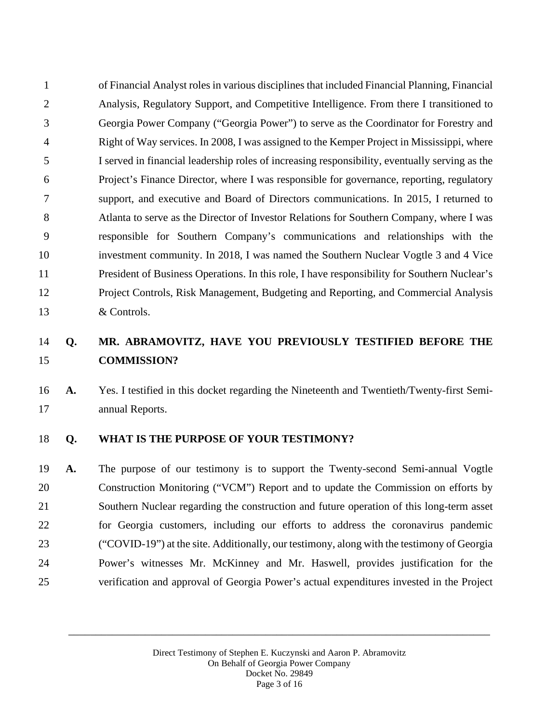of Financial Analyst roles in various disciplines that included Financial Planning, Financial Analysis, Regulatory Support, and Competitive Intelligence. From there I transitioned to Georgia Power Company ("Georgia Power") to serve as the Coordinator for Forestry and Right of Way services. In 2008, I was assigned to the Kemper Project in Mississippi, where I served in financial leadership roles of increasing responsibility, eventually serving as the Project's Finance Director, where I was responsible for governance, reporting, regulatory support, and executive and Board of Directors communications. In 2015, I returned to Atlanta to serve as the Director of Investor Relations for Southern Company, where I was responsible for Southern Company's communications and relationships with the investment community. In 2018, I was named the Southern Nuclear Vogtle 3 and 4 Vice President of Business Operations. In this role, I have responsibility for Southern Nuclear's Project Controls, Risk Management, Budgeting and Reporting, and Commercial Analysis & Controls.

### **Q. MR. ABRAMOVITZ, HAVE YOU PREVIOUSLY TESTIFIED BEFORE THE COMMISSION?**

 **A.** Yes. I testified in this docket regarding the Nineteenth and Twentieth/Twenty-first Semi-annual Reports.

### **Q. WHAT IS THE PURPOSE OF YOUR TESTIMONY?**

 **A.** The purpose of our testimony is to support the Twenty-second Semi-annual Vogtle Construction Monitoring ("VCM") Report and to update the Commission on efforts by Southern Nuclear regarding the construction and future operation of this long-term asset for Georgia customers, including our efforts to address the coronavirus pandemic ("COVID-19") at the site. Additionally, our testimony, along with the testimony of Georgia Power's witnesses Mr. McKinney and Mr. Haswell, provides justification for the verification and approval of Georgia Power's actual expenditures invested in the Project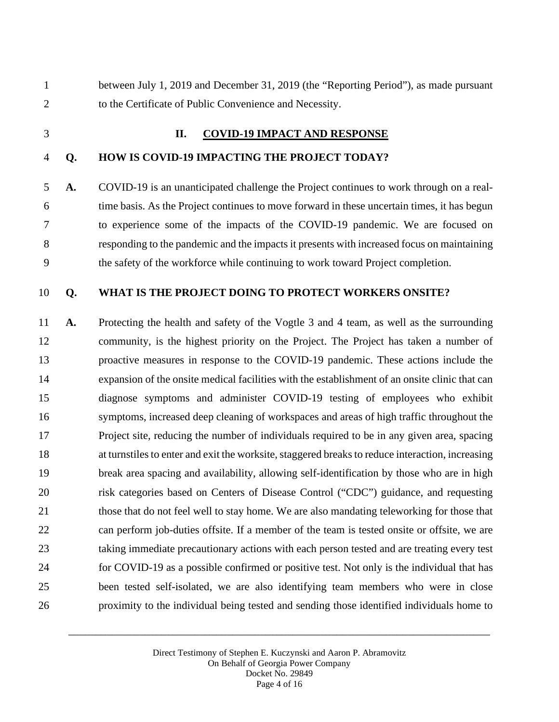between July 1, 2019 and December 31, 2019 (the "Reporting Period"), as made pursuant to the Certificate of Public Convenience and Necessity.

#### **II. COVID-19 IMPACT AND RESPONSE**

#### **Q. HOW IS COVID-19 IMPACTING THE PROJECT TODAY?**

 **A.** COVID-19 is an unanticipated challenge the Project continues to work through on a real- time basis. As the Project continues to move forward in these uncertain times, it has begun to experience some of the impacts of the COVID-19 pandemic. We are focused on responding to the pandemic and the impacts it presents with increased focus on maintaining the safety of the workforce while continuing to work toward Project completion.

### **Q. WHAT IS THE PROJECT DOING TO PROTECT WORKERS ONSITE?**

 **A.** Protecting the health and safety of the Vogtle 3 and 4 team, as well as the surrounding community, is the highest priority on the Project. The Project has taken a number of proactive measures in response to the COVID-19 pandemic. These actions include the expansion of the onsite medical facilities with the establishment of an onsite clinic that can diagnose symptoms and administer COVID-19 testing of employees who exhibit symptoms, increased deep cleaning of workspaces and areas of high traffic throughout the Project site, reducing the number of individuals required to be in any given area, spacing 18 at turnstiles to enter and exit the worksite, staggered breaks to reduce interaction, increasing break area spacing and availability, allowing self-identification by those who are in high risk categories based on Centers of Disease Control ("CDC") guidance, and requesting 21 those that do not feel well to stay home. We are also mandating teleworking for those that can perform job-duties offsite. If a member of the team is tested onsite or offsite, we are taking immediate precautionary actions with each person tested and are treating every test for COVID-19 as a possible confirmed or positive test. Not only is the individual that has been tested self-isolated, we are also identifying team members who were in close proximity to the individual being tested and sending those identified individuals home to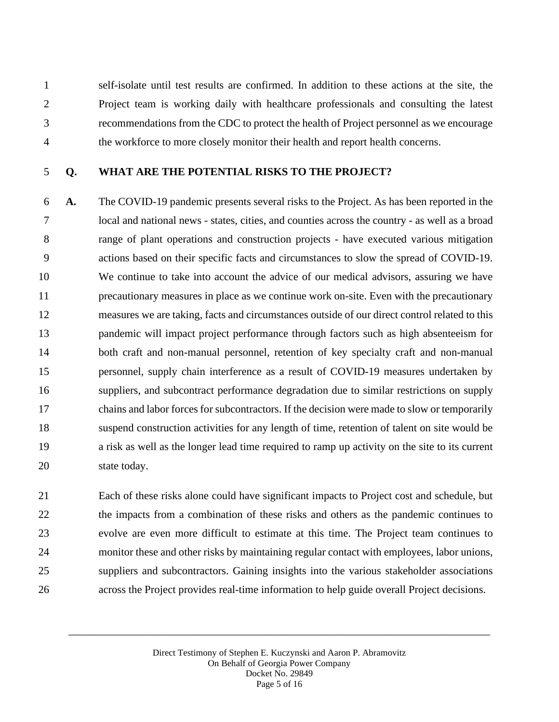self-isolate until test results are confirmed. In addition to these actions at the site, the Project team is working daily with healthcare professionals and consulting the latest recommendations from the CDC to protect the health of Project personnel as we encourage the workforce to more closely monitor their health and report health concerns.

### **Q. WHAT ARE THE POTENTIAL RISKS TO THE PROJECT?**

 **A.** The COVID-19 pandemic presents several risks to the Project. As has been reported in the local and national news - states, cities, and counties across the country - as well as a broad range of plant operations and construction projects - have executed various mitigation actions based on their specific facts and circumstances to slow the spread of COVID-19. We continue to take into account the advice of our medical advisors, assuring we have precautionary measures in place as we continue work on-site. Even with the precautionary measures we are taking, facts and circumstances outside of our direct control related to this pandemic will impact project performance through factors such as high absenteeism for both craft and non-manual personnel, retention of key specialty craft and non-manual personnel, supply chain interference as a result of COVID-19 measures undertaken by suppliers, and subcontract performance degradation due to similar restrictions on supply chains and labor forces for subcontractors. If the decision were made to slow or temporarily suspend construction activities for any length of time, retention of talent on site would be a risk as well as the longer lead time required to ramp up activity on the site to its current state today.

 Each of these risks alone could have significant impacts to Project cost and schedule, but the impacts from a combination of these risks and others as the pandemic continues to evolve are even more difficult to estimate at this time. The Project team continues to monitor these and other risks by maintaining regular contact with employees, labor unions, suppliers and subcontractors. Gaining insights into the various stakeholder associations across the Project provides real-time information to help guide overall Project decisions.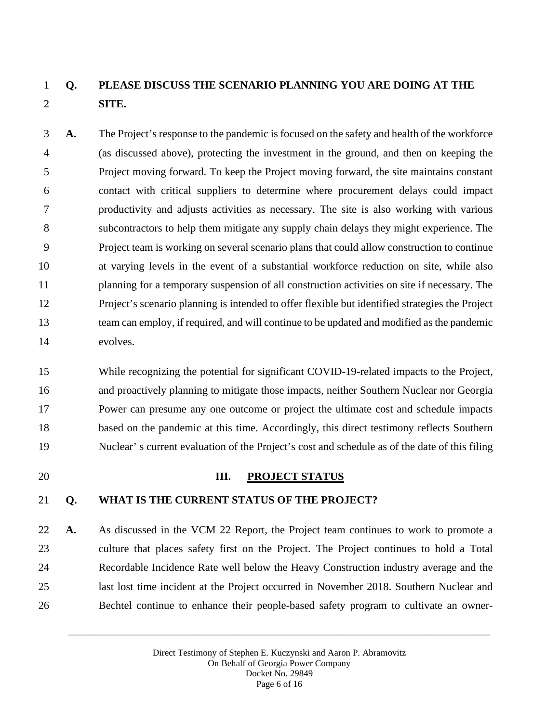# **Q. PLEASE DISCUSS THE SCENARIO PLANNING YOU ARE DOING AT THE SITE.**

 **A.** The Project's response to the pandemic is focused on the safety and health of the workforce (as discussed above), protecting the investment in the ground, and then on keeping the Project moving forward. To keep the Project moving forward, the site maintains constant contact with critical suppliers to determine where procurement delays could impact productivity and adjusts activities as necessary. The site is also working with various subcontractors to help them mitigate any supply chain delays they might experience. The Project team is working on several scenario plans that could allow construction to continue at varying levels in the event of a substantial workforce reduction on site, while also planning for a temporary suspension of all construction activities on site if necessary. The Project's scenario planning is intended to offer flexible but identified strategies the Project team can employ, if required, and will continue to be updated and modified as the pandemic evolves.

 While recognizing the potential for significant COVID-19-related impacts to the Project, and proactively planning to mitigate those impacts, neither Southern Nuclear nor Georgia Power can presume any one outcome or project the ultimate cost and schedule impacts based on the pandemic at this time. Accordingly, this direct testimony reflects Southern Nuclear' s current evaluation of the Project's cost and schedule as of the date of this filing

### **III. PROJECT STATUS**

### **Q. WHAT IS THE CURRENT STATUS OF THE PROJECT?**

 **A.** As discussed in the VCM 22 Report, the Project team continues to work to promote a culture that places safety first on the Project. The Project continues to hold a Total Recordable Incidence Rate well below the Heavy Construction industry average and the last lost time incident at the Project occurred in November 2018. Southern Nuclear and Bechtel continue to enhance their people-based safety program to cultivate an owner-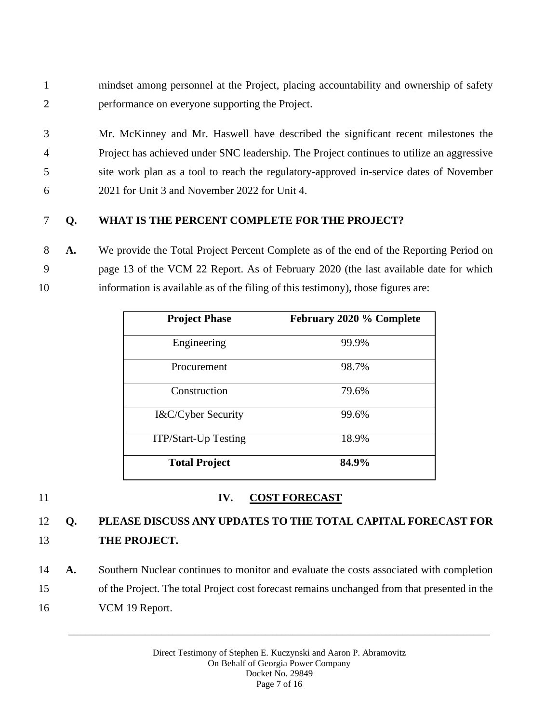- 1 mindset among personnel at the Project, placing accountability and ownership of safety 2 performance on everyone supporting the Project.
- 3 Mr. McKinney and Mr. Haswell have described the significant recent milestones the 4 Project has achieved under SNC leadership. The Project continues to utilize an aggressive 5 site work plan as a tool to reach the regulatory-approved in-service dates of November 6 2021 for Unit 3 and November 2022 for Unit 4.

### 7 **Q. WHAT IS THE PERCENT COMPLETE FOR THE PROJECT?**

8 **A.** We provide the Total Project Percent Complete as of the end of the Reporting Period on 9 page 13 of the VCM 22 Report. As of February 2020 (the last available date for which 10 information is available as of the filing of this testimony), those figures are:

| <b>Project Phase</b>        | February 2020 % Complete |
|-----------------------------|--------------------------|
| Engineering                 | 99.9%                    |
| Procurement                 | 98.7%                    |
| Construction                | 79.6%                    |
| I&C/Cyber Security          | 99.6%                    |
| <b>ITP/Start-Up Testing</b> | 18.9%                    |
| <b>Total Project</b>        | 84.9%                    |

### 11 **IV. COST FORECAST**

# 12 **Q. PLEASE DISCUSS ANY UPDATES TO THE TOTAL CAPITAL FORECAST FOR**  13 **THE PROJECT.**

- 14 **A.** Southern Nuclear continues to monitor and evaluate the costs associated with completion
- 15 of the Project. The total Project cost forecast remains unchanged from that presented in the
- 16 VCM 19 Report.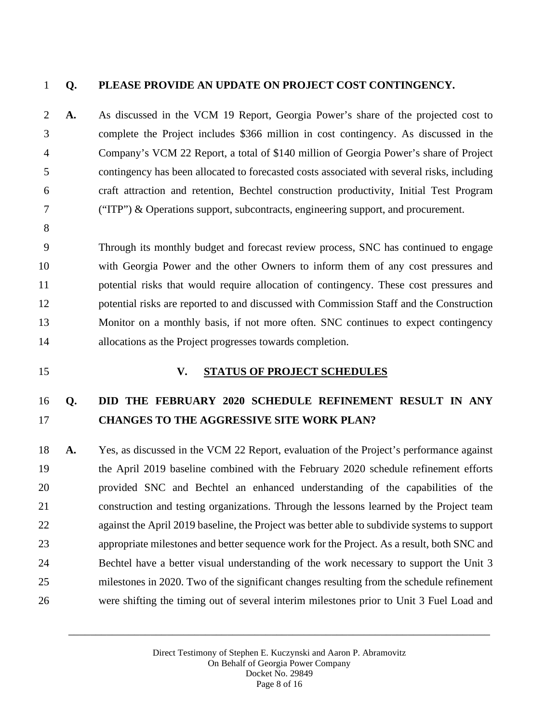### **Q. PLEASE PROVIDE AN UPDATE ON PROJECT COST CONTINGENCY.**

 **A.** As discussed in the VCM 19 Report, Georgia Power's share of the projected cost to complete the Project includes \$366 million in cost contingency. As discussed in the Company's VCM 22 Report, a total of \$140 million of Georgia Power's share of Project contingency has been allocated to forecasted costs associated with several risks, including craft attraction and retention, Bechtel construction productivity, Initial Test Program ("ITP") & Operations support, subcontracts, engineering support, and procurement.

 Through its monthly budget and forecast review process, SNC has continued to engage with Georgia Power and the other Owners to inform them of any cost pressures and potential risks that would require allocation of contingency. These cost pressures and potential risks are reported to and discussed with Commission Staff and the Construction Monitor on a monthly basis, if not more often. SNC continues to expect contingency allocations as the Project progresses towards completion.

#### **V. STATUS OF PROJECT SCHEDULES**

## **Q. DID THE FEBRUARY 2020 SCHEDULE REFINEMENT RESULT IN ANY CHANGES TO THE AGGRESSIVE SITE WORK PLAN?**

 **A.** Yes, as discussed in the VCM 22 Report, evaluation of the Project's performance against the April 2019 baseline combined with the February 2020 schedule refinement efforts provided SNC and Bechtel an enhanced understanding of the capabilities of the construction and testing organizations. Through the lessons learned by the Project team against the April 2019 baseline, the Project was better able to subdivide systems to support appropriate milestones and better sequence work for the Project. As a result, both SNC and Bechtel have a better visual understanding of the work necessary to support the Unit 3 milestones in 2020. Two of the significant changes resulting from the schedule refinement were shifting the timing out of several interim milestones prior to Unit 3 Fuel Load and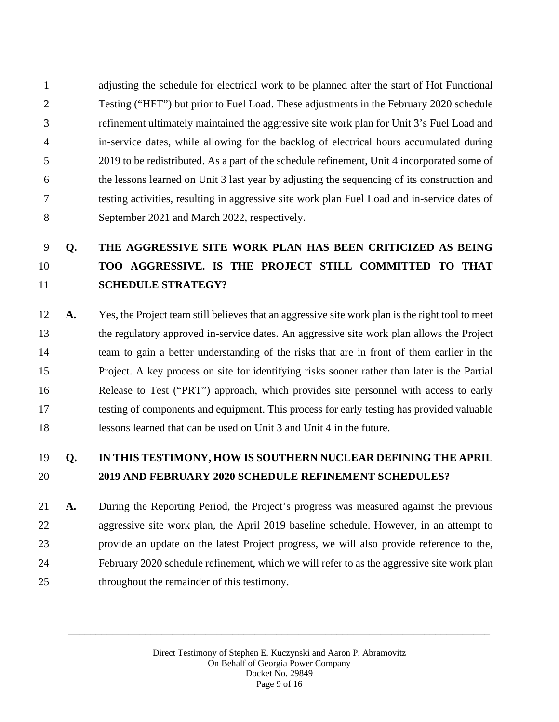adjusting the schedule for electrical work to be planned after the start of Hot Functional Testing ("HFT") but prior to Fuel Load. These adjustments in the February 2020 schedule refinement ultimately maintained the aggressive site work plan for Unit 3's Fuel Load and in-service dates, while allowing for the backlog of electrical hours accumulated during 2019 to be redistributed. As a part of the schedule refinement, Unit 4 incorporated some of the lessons learned on Unit 3 last year by adjusting the sequencing of its construction and testing activities, resulting in aggressive site work plan Fuel Load and in-service dates of September 2021 and March 2022, respectively.

# **Q. THE AGGRESSIVE SITE WORK PLAN HAS BEEN CRITICIZED AS BEING TOO AGGRESSIVE. IS THE PROJECT STILL COMMITTED TO THAT SCHEDULE STRATEGY?**

 **A.** Yes, the Project team still believes that an aggressive site work plan is the right tool to meet the regulatory approved in-service dates. An aggressive site work plan allows the Project team to gain a better understanding of the risks that are in front of them earlier in the Project. A key process on site for identifying risks sooner rather than later is the Partial Release to Test ("PRT") approach, which provides site personnel with access to early testing of components and equipment. This process for early testing has provided valuable lessons learned that can be used on Unit 3 and Unit 4 in the future.

### **Q. IN THIS TESTIMONY, HOW IS SOUTHERN NUCLEAR DEFINING THE APRIL 2019 AND FEBRUARY 2020 SCHEDULE REFINEMENT SCHEDULES?**

 **A.** During the Reporting Period, the Project's progress was measured against the previous aggressive site work plan, the April 2019 baseline schedule. However, in an attempt to provide an update on the latest Project progress, we will also provide reference to the, February 2020 schedule refinement, which we will refer to as the aggressive site work plan throughout the remainder of this testimony.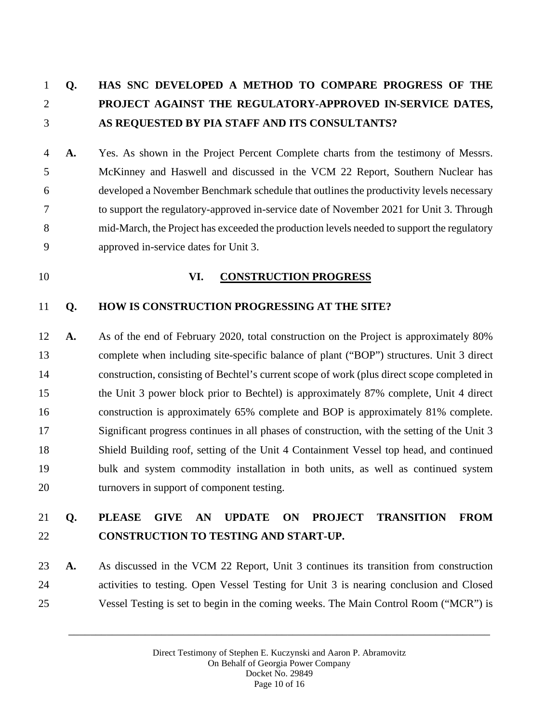# **Q. HAS SNC DEVELOPED A METHOD TO COMPARE PROGRESS OF THE PROJECT AGAINST THE REGULATORY-APPROVED IN-SERVICE DATES, AS REQUESTED BY PIA STAFF AND ITS CONSULTANTS?**

 **A.** Yes. As shown in the Project Percent Complete charts from the testimony of Messrs. McKinney and Haswell and discussed in the VCM 22 Report, Southern Nuclear has developed a November Benchmark schedule that outlines the productivity levels necessary to support the regulatory-approved in-service date of November 2021 for Unit 3. Through mid-March, the Project has exceeded the production levels needed to support the regulatory approved in-service dates for Unit 3.

### **VI. CONSTRUCTION PROGRESS**

#### **Q. HOW IS CONSTRUCTION PROGRESSING AT THE SITE?**

 **A.** As of the end of February 2020, total construction on the Project is approximately 80% complete when including site-specific balance of plant ("BOP") structures. Unit 3 direct construction, consisting of Bechtel's current scope of work (plus direct scope completed in the Unit 3 power block prior to Bechtel) is approximately 87% complete, Unit 4 direct construction is approximately 65% complete and BOP is approximately 81% complete. Significant progress continues in all phases of construction, with the setting of the Unit 3 Shield Building roof, setting of the Unit 4 Containment Vessel top head, and continued bulk and system commodity installation in both units, as well as continued system turnovers in support of component testing.

## **Q. PLEASE GIVE AN UPDATE ON PROJECT TRANSITION FROM CONSTRUCTION TO TESTING AND START-UP.**

 **A.** As discussed in the VCM 22 Report, Unit 3 continues its transition from construction activities to testing. Open Vessel Testing for Unit 3 is nearing conclusion and Closed Vessel Testing is set to begin in the coming weeks. The Main Control Room ("MCR") is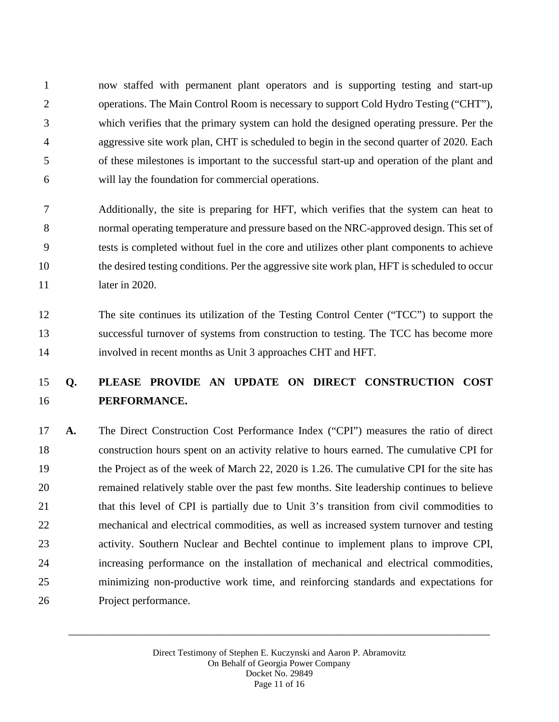now staffed with permanent plant operators and is supporting testing and start-up operations. The Main Control Room is necessary to support Cold Hydro Testing ("CHT"), which verifies that the primary system can hold the designed operating pressure. Per the aggressive site work plan, CHT is scheduled to begin in the second quarter of 2020. Each of these milestones is important to the successful start-up and operation of the plant and will lay the foundation for commercial operations.

 Additionally, the site is preparing for HFT, which verifies that the system can heat to normal operating temperature and pressure based on the NRC-approved design. This set of tests is completed without fuel in the core and utilizes other plant components to achieve the desired testing conditions. Per the aggressive site work plan, HFT is scheduled to occur **later in 2020.** 

 The site continues its utilization of the Testing Control Center ("TCC") to support the successful turnover of systems from construction to testing. The TCC has become more involved in recent months as Unit 3 approaches CHT and HFT.

# **Q. PLEASE PROVIDE AN UPDATE ON DIRECT CONSTRUCTION COST PERFORMANCE.**

 **A.** The Direct Construction Cost Performance Index ("CPI") measures the ratio of direct construction hours spent on an activity relative to hours earned. The cumulative CPI for the Project as of the week of March 22, 2020 is 1.26. The cumulative CPI for the site has remained relatively stable over the past few months. Site leadership continues to believe 21 that this level of CPI is partially due to Unit 3's transition from civil commodities to mechanical and electrical commodities, as well as increased system turnover and testing activity. Southern Nuclear and Bechtel continue to implement plans to improve CPI, increasing performance on the installation of mechanical and electrical commodities, minimizing non-productive work time, and reinforcing standards and expectations for Project performance.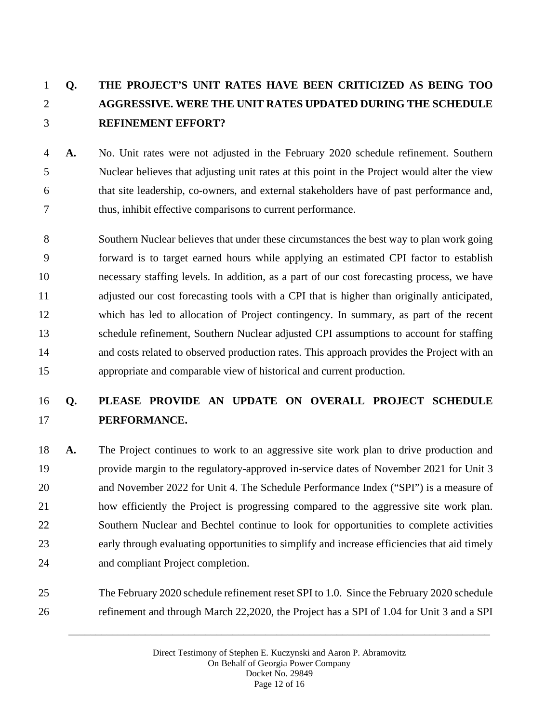# **Q. THE PROJECT'S UNIT RATES HAVE BEEN CRITICIZED AS BEING TOO AGGRESSIVE. WERE THE UNIT RATES UPDATED DURING THE SCHEDULE REFINEMENT EFFORT?**

- **A.** No. Unit rates were not adjusted in the February 2020 schedule refinement. Southern Nuclear believes that adjusting unit rates at this point in the Project would alter the view that site leadership, co-owners, and external stakeholders have of past performance and, thus, inhibit effective comparisons to current performance.
- Southern Nuclear believes that under these circumstances the best way to plan work going forward is to target earned hours while applying an estimated CPI factor to establish necessary staffing levels. In addition, as a part of our cost forecasting process, we have 11 adjusted our cost forecasting tools with a CPI that is higher than originally anticipated, which has led to allocation of Project contingency. In summary, as part of the recent schedule refinement, Southern Nuclear adjusted CPI assumptions to account for staffing and costs related to observed production rates. This approach provides the Project with an appropriate and comparable view of historical and current production.

# **Q. PLEASE PROVIDE AN UPDATE ON OVERALL PROJECT SCHEDULE PERFORMANCE.**

- **A.** The Project continues to work to an aggressive site work plan to drive production and provide margin to the regulatory-approved in-service dates of November 2021 for Unit 3 and November 2022 for Unit 4. The Schedule Performance Index ("SPI") is a measure of how efficiently the Project is progressing compared to the aggressive site work plan. Southern Nuclear and Bechtel continue to look for opportunities to complete activities early through evaluating opportunities to simplify and increase efficiencies that aid timely and compliant Project completion.
- The February 2020 schedule refinement reset SPI to 1.0. Since the February 2020 schedule refinement and through March 22,2020, the Project has a SPI of 1.04 for Unit 3 and a SPI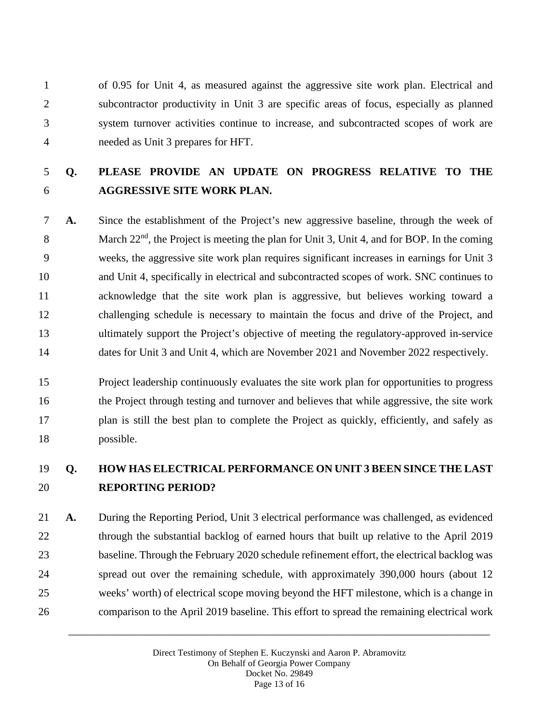of 0.95 for Unit 4, as measured against the aggressive site work plan. Electrical and subcontractor productivity in Unit 3 are specific areas of focus, especially as planned system turnover activities continue to increase, and subcontracted scopes of work are needed as Unit 3 prepares for HFT.

# **Q. PLEASE PROVIDE AN UPDATE ON PROGRESS RELATIVE TO THE AGGRESSIVE SITE WORK PLAN.**

 **A.** Since the establishment of the Project's new aggressive baseline, through the week of 8 March  $22<sup>nd</sup>$ , the Project is meeting the plan for Unit 3, Unit 4, and for BOP. In the coming weeks, the aggressive site work plan requires significant increases in earnings for Unit 3 and Unit 4, specifically in electrical and subcontracted scopes of work. SNC continues to acknowledge that the site work plan is aggressive, but believes working toward a challenging schedule is necessary to maintain the focus and drive of the Project, and ultimately support the Project's objective of meeting the regulatory-approved in-service 14 dates for Unit 3 and Unit 4, which are November 2021 and November 2022 respectively.

 Project leadership continuously evaluates the site work plan for opportunities to progress the Project through testing and turnover and believes that while aggressive, the site work plan is still the best plan to complete the Project as quickly, efficiently, and safely as possible.

### **Q. HOW HAS ELECTRICAL PERFORMANCE ON UNIT 3 BEEN SINCE THE LAST REPORTING PERIOD?**

 **A.** During the Reporting Period, Unit 3 electrical performance was challenged, as evidenced 22 through the substantial backlog of earned hours that built up relative to the April 2019 baseline. Through the February 2020 schedule refinement effort, the electrical backlog was spread out over the remaining schedule, with approximately 390,000 hours (about 12 weeks' worth) of electrical scope moving beyond the HFT milestone, which is a change in comparison to the April 2019 baseline. This effort to spread the remaining electrical work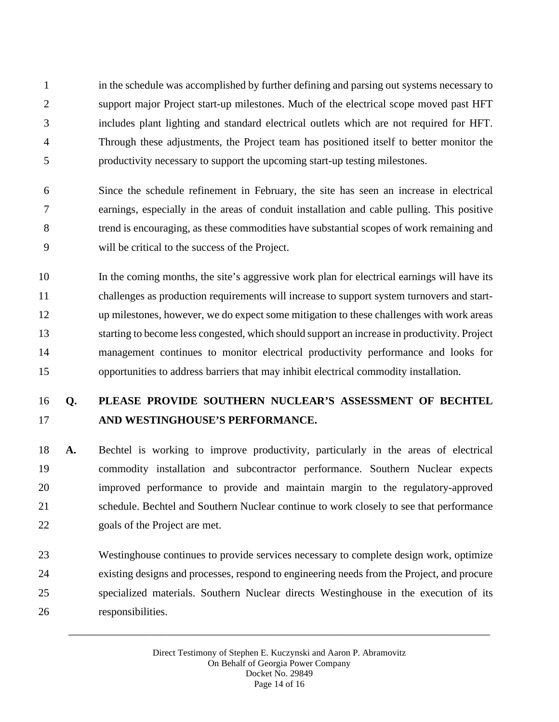in the schedule was accomplished by further defining and parsing out systems necessary to support major Project start-up milestones. Much of the electrical scope moved past HFT includes plant lighting and standard electrical outlets which are not required for HFT. Through these adjustments, the Project team has positioned itself to better monitor the productivity necessary to support the upcoming start-up testing milestones.

 Since the schedule refinement in February, the site has seen an increase in electrical earnings, especially in the areas of conduit installation and cable pulling. This positive trend is encouraging, as these commodities have substantial scopes of work remaining and will be critical to the success of the Project.

 In the coming months, the site's aggressive work plan for electrical earnings will have its challenges as production requirements will increase to support system turnovers and start- up milestones, however, we do expect some mitigation to these challenges with work areas starting to become less congested, which should support an increase in productivity. Project management continues to monitor electrical productivity performance and looks for opportunities to address barriers that may inhibit electrical commodity installation.

## **Q. PLEASE PROVIDE SOUTHERN NUCLEAR'S ASSESSMENT OF BECHTEL AND WESTINGHOUSE'S PERFORMANCE.**

 **A.** Bechtel is working to improve productivity, particularly in the areas of electrical commodity installation and subcontractor performance. Southern Nuclear expects improved performance to provide and maintain margin to the regulatory-approved schedule. Bechtel and Southern Nuclear continue to work closely to see that performance goals of the Project are met.

 Westinghouse continues to provide services necessary to complete design work, optimize existing designs and processes, respond to engineering needs from the Project, and procure specialized materials. Southern Nuclear directs Westinghouse in the execution of its responsibilities.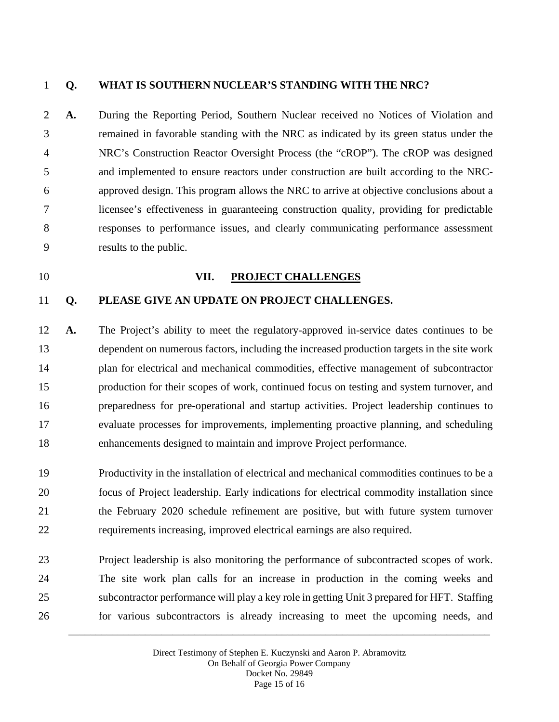### **Q. WHAT IS SOUTHERN NUCLEAR'S STANDING WITH THE NRC?**

 **A.** During the Reporting Period, Southern Nuclear received no Notices of Violation and remained in favorable standing with the NRC as indicated by its green status under the NRC's Construction Reactor Oversight Process (the "cROP"). The cROP was designed and implemented to ensure reactors under construction are built according to the NRC- approved design. This program allows the NRC to arrive at objective conclusions about a licensee's effectiveness in guaranteeing construction quality, providing for predictable responses to performance issues, and clearly communicating performance assessment results to the public.

#### **VII. PROJECT CHALLENGES**

#### **Q. PLEASE GIVE AN UPDATE ON PROJECT CHALLENGES.**

 **A.** The Project's ability to meet the regulatory-approved in-service dates continues to be dependent on numerous factors, including the increased production targets in the site work plan for electrical and mechanical commodities, effective management of subcontractor production for their scopes of work, continued focus on testing and system turnover, and preparedness for pre-operational and startup activities. Project leadership continues to evaluate processes for improvements, implementing proactive planning, and scheduling enhancements designed to maintain and improve Project performance.

 Productivity in the installation of electrical and mechanical commodities continues to be a focus of Project leadership. Early indications for electrical commodity installation since the February 2020 schedule refinement are positive, but with future system turnover requirements increasing, improved electrical earnings are also required.

 Project leadership is also monitoring the performance of subcontracted scopes of work. The site work plan calls for an increase in production in the coming weeks and subcontractor performance will play a key role in getting Unit 3 prepared for HFT. Staffing for various subcontractors is already increasing to meet the upcoming needs, and